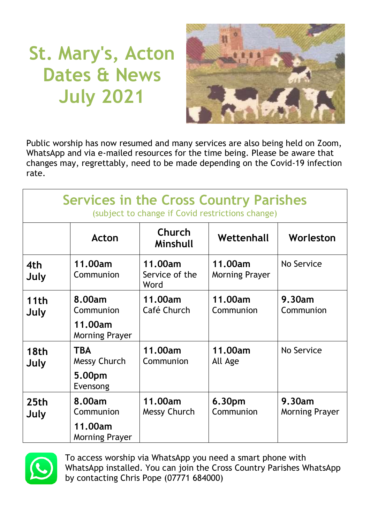# **St. Mary's, Acton Dates & News July 2021**



Public worship has now resumed and many services are also being held on Zoom, WhatsApp and via e-mailed resources for the time being. Please be aware that changes may, regrettably, need to be made depending on the Covid-19 infection rate.

| <b>Services in the Cross Country Parishes</b><br>(subject to change if Covid restrictions change) |                                                         |                                   |                                  |                                 |  |  |
|---------------------------------------------------------------------------------------------------|---------------------------------------------------------|-----------------------------------|----------------------------------|---------------------------------|--|--|
|                                                                                                   | <b>Acton</b>                                            | <b>Church</b><br>Minshull         | Wettenhall                       | Worleston                       |  |  |
| 4th<br>July                                                                                       | 11.00am<br>Communion                                    | 11.00am<br>Service of the<br>Word | 11.00am<br><b>Morning Prayer</b> | No Service                      |  |  |
| 11th<br>July                                                                                      | 8.00am<br>Communion<br>11.00am<br><b>Morning Prayer</b> | 11.00am<br>Café Church            | 11.00am<br>Communion             | 9.30am<br>Communion             |  |  |
| 18th<br>July                                                                                      | <b>TBA</b><br><b>Messy Church</b><br>5.00pm<br>Evensong | 11.00am<br>Communion              | 11.00am<br>All Age               | No Service                      |  |  |
| 25 <sub>th</sub><br>July                                                                          | 8.00am<br>Communion<br>11.00am<br><b>Morning Prayer</b> | 11.00am<br><b>Messy Church</b>    | 6.30pm<br>Communion              | 9.30am<br><b>Morning Prayer</b> |  |  |



To access worship via WhatsApp you need a smart phone with WhatsApp installed. You can join the Cross Country Parishes WhatsApp by contacting Chris Pope (07771 684000)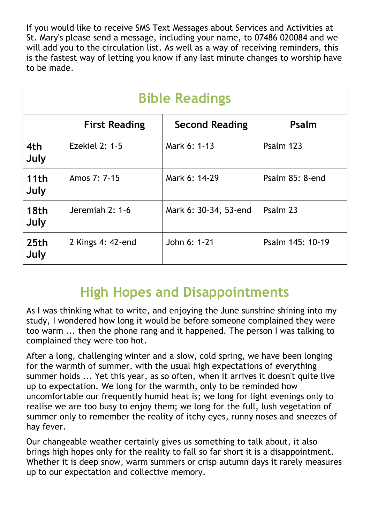If you would like to receive SMS Text Messages about Services and Activities at St. Mary's please send a message, including your name, to 07486 020084 and we will add you to the circulation list. As well as a way of receiving reminders, this is the fastest way of letting you know if any last minute changes to worship have to be made.

| <b>Bible Readings</b>    |                       |                       |                  |  |  |  |
|--------------------------|-----------------------|-----------------------|------------------|--|--|--|
|                          | <b>First Reading</b>  | <b>Second Reading</b> | Psalm            |  |  |  |
| 4th<br>July              | <b>Ezekiel 2: 1-5</b> | Mark 6: 1-13          | Psalm 123        |  |  |  |
| 11th<br>July             | Amos 7: 7-15          | Mark 6: 14-29         | Psalm 85: 8-end  |  |  |  |
| 18th<br>July             | Jeremiah 2: 1-6       | Mark 6: 30-34, 53-end | Psalm 23         |  |  |  |
| 25 <sub>th</sub><br>July | 2 Kings 4: 42-end     | John 6: 1-21          | Psalm 145: 10-19 |  |  |  |

# **High Hopes and Disappointments**

As I was thinking what to write, and enjoying the June sunshine shining into my study, I wondered how long it would be before someone complained they were too warm ... then the phone rang and it happened. The person I was talking to complained they were too hot.

After a long, challenging winter and a slow, cold spring, we have been longing for the warmth of summer, with the usual high expectations of everything summer holds ... Yet this year, as so often, when it arrives it doesn't quite live up to expectation. We long for the warmth, only to be reminded how uncomfortable our frequently humid heat is; we long for light evenings only to realise we are too busy to enjoy them; we long for the full, lush vegetation of summer only to remember the reality of itchy eyes, runny noses and sneezes of hay fever.

Our changeable weather certainly gives us something to talk about, it also brings high hopes only for the reality to fall so far short it is a disappointment. Whether it is deep snow, warm summers or crisp autumn days it rarely measures up to our expectation and collective memory.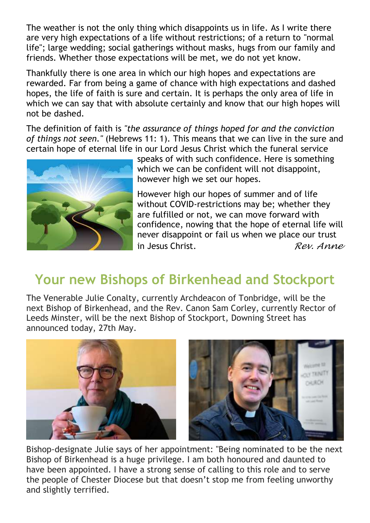The weather is not the only thing which disappoints us in life. As I write there are very high expectations of a life without restrictions; of a return to "normal life"; large wedding; social gatherings without masks, hugs from our family and friends. Whether those expectations will be met, we do not yet know.

Thankfully there is one area in which our high hopes and expectations are rewarded. Far from being a game of chance with high expectations and dashed hopes, the life of faith is sure and certain. It is perhaps the only area of life in which we can say that with absolute certainly and know that our high hopes will not be dashed.

The definition of faith is *"the assurance of things hoped for and the conviction of things not seen."* (Hebrews 11: 1). This means that we can live in the sure and certain hope of eternal life in our Lord Jesus Christ which the funeral service



speaks of with such confidence. Here is something which we can be confident will not disappoint, however high we set our hopes.

However high our hopes of summer and of life without COVID-restrictions may be; whether they are fulfilled or not, we can move forward with confidence, nowing that the hope of eternal life will never disappoint or fail us when we place our trust in Jesus Christ. *Rev. Anne*

# **Your new Bishops of Birkenhead and Stockport**

The Venerable Julie Conalty, currently Archdeacon of Tonbridge, will be the next Bishop of Birkenhead, and the Rev. Canon Sam Corley, currently Rector of Leeds Minster, will be the next Bishop of Stockport, Downing Street has announced today, 27th May.





Bishop-designate Julie says of her appointment: "Being nominated to be the next Bishop of Birkenhead is a huge privilege. I am both honoured and daunted to have been appointed. I have a strong sense of calling to this role and to serve the people of Chester Diocese but that doesn't stop me from feeling unworthy and slightly terrified.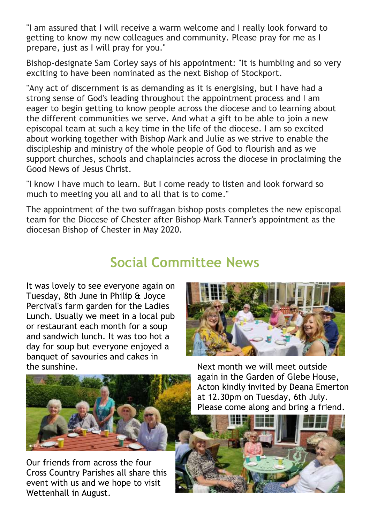"I am assured that I will receive a warm welcome and I really look forward to getting to know my new colleagues and community. Please pray for me as I prepare, just as I will pray for you."

Bishop-designate Sam Corley says of his appointment: "It is humbling and so very exciting to have been nominated as the next Bishop of Stockport.

"Any act of discernment is as demanding as it is energising, but I have had a strong sense of God's leading throughout the appointment process and I am eager to begin getting to know people across the diocese and to learning about the different communities we serve. And what a gift to be able to join a new episcopal team at such a key time in the life of the diocese. I am so excited about working together with Bishop Mark and Julie as we strive to enable the discipleship and ministry of the whole people of God to flourish and as we support churches, schools and chaplaincies across the diocese in proclaiming the Good News of Jesus Christ.

"I know I have much to learn. But I come ready to listen and look forward so much to meeting you all and to all that is to come."

The appointment of the two suffragan bishop posts completes the new episcopal team for the Diocese of Chester after Bishop Mark Tanner's appointment as the diocesan Bishop of Chester in May 2020.

## **Social Committee News**

It was lovely to see everyone again on Tuesday, 8th June in Philip & Joyce Percival's farm garden for the Ladies Lunch. Usually we meet in a local pub or restaurant each month for a soup and sandwich lunch. It was too hot a day for soup but everyone enjoyed a banquet of savouries and cakes in the sunshine. The sunshine will meet outside





Our friends from across the four Cross Country Parishes all share this event with us and we hope to visit Wettenhall in August.

again in the Garden of Glebe House, Acton kindly invited by Deana Emerton at 12.30pm on Tuesday, 6th July. Please come along and bring a friend.